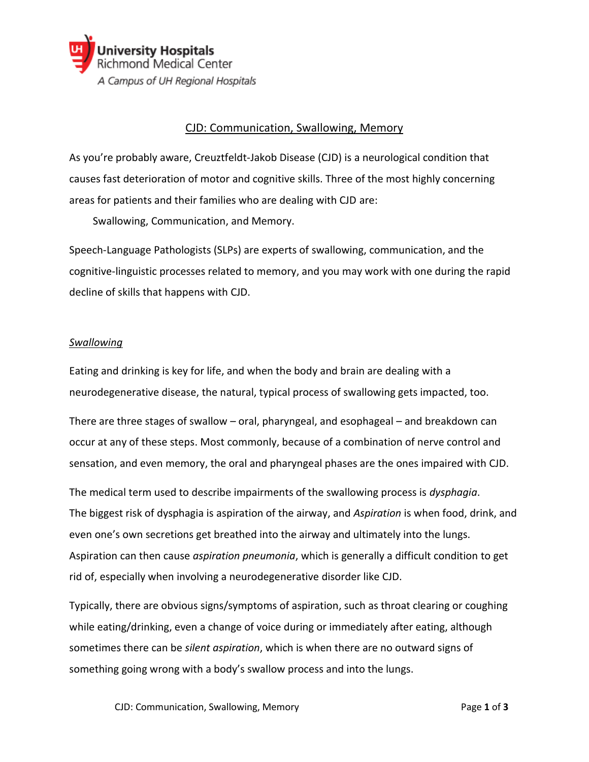

# CJD: Communication, Swallowing, Memory

As you're probably aware, Creuztfeldt-Jakob Disease (CJD) is a neurological condition that causes fast deterioration of motor and cognitive skills. Three of the most highly concerning areas for patients and their families who are dealing with CJD are:

Swallowing, Communication, and Memory.

Speech-Language Pathologists (SLPs) are experts of swallowing, communication, and the cognitive-linguistic processes related to memory, and you may work with one during the rapid decline of skills that happens with CJD.

### *Swallowing*

Eating and drinking is key for life, and when the body and brain are dealing with a neurodegenerative disease, the natural, typical process of swallowing gets impacted, too.

There are three stages of swallow – oral, pharyngeal, and esophageal – and breakdown can occur at any of these steps. Most commonly, because of a combination of nerve control and sensation, and even memory, the oral and pharyngeal phases are the ones impaired with CJD.

The medical term used to describe impairments of the swallowing process is *dysphagia*. The biggest risk of dysphagia is aspiration of the airway, and *Aspiration* is when food, drink, and even one's own secretions get breathed into the airway and ultimately into the lungs. Aspiration can then cause *aspiration pneumonia*, which is generally a difficult condition to get rid of, especially when involving a neurodegenerative disorder like CJD.

Typically, there are obvious signs/symptoms of aspiration, such as throat clearing or coughing while eating/drinking, even a change of voice during or immediately after eating, although sometimes there can be *silent aspiration*, which is when there are no outward signs of something going wrong with a body's swallow process and into the lungs.

CJD: Communication, Swallowing, Memory Page **1** of **3**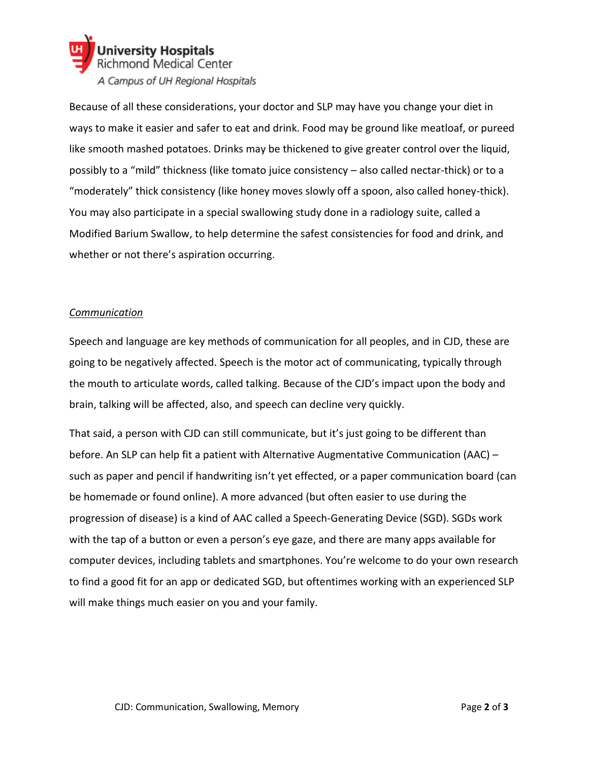

Because of all these considerations, your doctor and SLP may have you change your diet in ways to make it easier and safer to eat and drink. Food may be ground like meatloaf, or pureed like smooth mashed potatoes. Drinks may be thickened to give greater control over the liquid, possibly to a "mild" thickness (like tomato juice consistency – also called nectar-thick) or to a "moderately" thick consistency (like honey moves slowly off a spoon, also called honey-thick). You may also participate in a special swallowing study done in a radiology suite, called a Modified Barium Swallow, to help determine the safest consistencies for food and drink, and whether or not there's aspiration occurring.

## *Communication*

Speech and language are key methods of communication for all peoples, and in CJD, these are going to be negatively affected. Speech is the motor act of communicating, typically through the mouth to articulate words, called talking. Because of the CJD's impact upon the body and brain, talking will be affected, also, and speech can decline very quickly.

That said, a person with CJD can still communicate, but it's just going to be different than before. An SLP can help fit a patient with Alternative Augmentative Communication (AAC) – such as paper and pencil if handwriting isn't yet effected, or a paper communication board (can be homemade or found online). A more advanced (but often easier to use during the progression of disease) is a kind of AAC called a Speech-Generating Device (SGD). SGDs work with the tap of a button or even a person's eye gaze, and there are many apps available for computer devices, including tablets and smartphones. You're welcome to do your own research to find a good fit for an app or dedicated SGD, but oftentimes working with an experienced SLP will make things much easier on you and your family.